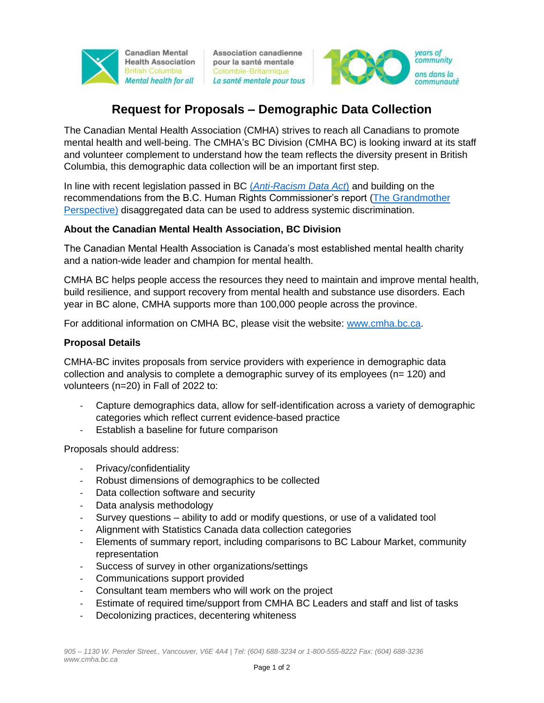

Association canadienne pour la santé mentale Colombie-Britannique La santé mentale pour tous



# **Request for Proposals – Demographic Data Collection**

The Canadian Mental Health Association (CMHA) strives to reach all Canadians to promote mental health and well-being. The CMHA's BC Division (CMHA BC) is looking inward at its staff and volunteer complement to understand how the team reflects the diversity present in British Columbia, this demographic data collection will be an important first step.

In line with recent legislation passed in BC (*[Anti-Racism Data Act](https://engage.gov.bc.ca/antiracism/)*) and building on the recommendations from the B.C. Human Rights Commissioner's report [\(The Grandmother](https://bchumanrights.ca/wp-content/uploads/BCOHRC_Sept2020_Disaggregated-Data-Report_FINAL.pdf)  [Perspective\)](https://bchumanrights.ca/wp-content/uploads/BCOHRC_Sept2020_Disaggregated-Data-Report_FINAL.pdf) disaggregated data can be used to address systemic discrimination.

# **About the Canadian Mental Health Association, BC Division**

The Canadian Mental Health Association is Canada's most established mental health charity and a nation-wide leader and champion for mental health.

CMHA BC helps people access the resources they need to maintain and improve mental health, build resilience, and support recovery from mental health and substance use disorders. Each year in BC alone, CMHA supports more than 100,000 people across the province.

For additional information on CMHA BC, please visit the website: [www.cmha.bc.ca.](http://www.cmha.bc.ca/)

#### **Proposal Details**

CMHA-BC invites proposals from service providers with experience in demographic data collection and analysis to complete a demographic survey of its employees (n= 120) and volunteers (n=20) in Fall of 2022 to:

- Capture demographics data, allow for self-identification across a variety of demographic categories which reflect current evidence-based practice
- Establish a baseline for future comparison

Proposals should address:

- Privacy/confidentiality
- Robust dimensions of demographics to be collected
- Data collection software and security
- Data analysis methodology
- Survey questions ability to add or modify questions, or use of a validated tool
- Alignment with Statistics Canada data collection categories
- Elements of summary report, including comparisons to BC Labour Market, community representation
- Success of survey in other organizations/settings
- Communications support provided
- Consultant team members who will work on the project
- Estimate of required time/support from CMHA BC Leaders and staff and list of tasks
- Decolonizing practices, decentering whiteness